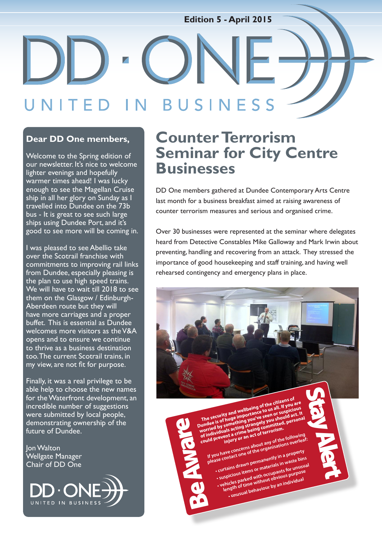#### **Edition 5 - April 2015**

BUSINESS TED

#### **Dear DD One members,**

Welcome to the Spring edition of our newsletter. It's nice to welcome lighter evenings and hopefully warmer times ahead! I was lucky enough to see the Magellan Cruise ship in all her glory on Sunday as I travelled into Dundee on the 73b bus - It is great to see such large ships using Dundee Port, and it's good to see more will be coming in.

I was pleased to see Abellio take over the Scotrail franchise with commitments to improving rail links from Dundee, especially pleasing is the plan to use high speed trains. We will have to wait till 2018 to see them on the Glasgow / Edinburgh-Aberdeen route but they will have more carriages and a proper buffet. This is essential as Dundee welcomes more visitors as the V&A opens and to ensure we continue to thrive as a business destination too. The current Scotrail trains, in my view, are not fit for purpose.

Finally, it was a real privilege to be able help to choose the new names for the Waterfront development, an incredible number of suggestions were submitted by local people, demonstrating ownership of the future of Dundee.

Jon Walton Wellgate Manager Chair of DD One



#### **Counter Terrorism Seminar for City Centre Businesses**

DD One members gathered at Dundee Contemporary Arts Centre last month for a business breakfast aimed at raising awareness of counter terrorism measures and serious and organised crime.

Over 30 businesses were represented at the seminar where delegates heard from Detective Constables Mike Galloway and Mark Irwin about preventing, handling and recovering from an attack. They stressed the importance of good housekeeping and staff training, and having well rehearsed contingency and emergency plans in place.

The security and wellbeing of the citizens of<br>The security and wellbeing of the citizens of<br>The security and wellbeing to use all. If you are<br>puncted is of something years of specifical, persons<br>worried by something strang

The security of huge impouve securities of huge in you've securities in the solid density of the following<br>
worried by something strangely your should also acting the being committed, personal<br>
of individuals actime being

**If you have concerns about any of the following<br>If you have concerns about any of the following<br>please contact one of the organisations overleaf:<br>please contact one of the organisations is a property • curtains drawn permanently in a property • suspicious items or materials in waste bins • vehicles parked with occupants for unusual Length of time without obvious purpose • unusual behaviour by an individual** 

Stay Alert

Be Aware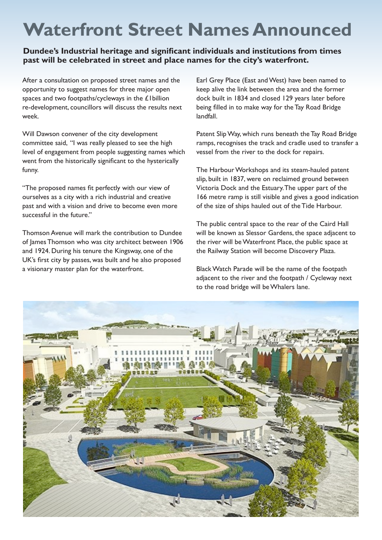## **Waterfront Street Names Announced**

#### **Dundee's Industrial heritage and significant individuals and institutions from times past will be celebrated in street and place names for the city's waterfront.**

After a consultation on proposed street names and the opportunity to suggest names for three major open spaces and two footpaths/cycleways in the £1billion re-development, councillors will discuss the results next week.

Will Dawson convener of the city development committee said, "I was really pleased to see the high level of engagement from people suggesting names which went from the historically significant to the hysterically funny.

"The proposed names fit perfectly with our view of ourselves as a city with a rich industrial and creative past and with a vision and drive to become even more successful in the future."

Thomson Avenue will mark the contribution to Dundee of James Thomson who was city architect between 1906 and 1924. During his tenure the Kingsway, one of the UK's first city by passes, was built and he also proposed a visionary master plan for the waterfront.

Earl Grey Place (East and West) have been named to keep alive the link between the area and the former dock built in 1834 and closed 129 years later before being filled in to make way for the Tay Road Bridge landfall.

Patent Slip Way, which runs beneath the Tay Road Bridge ramps, recognises the track and cradle used to transfer a vessel from the river to the dock for repairs.

The Harbour Workshops and its steam-hauled patent slip, built in 1837, were on reclaimed ground between Victoria Dock and the Estuary. The upper part of the 166 metre ramp is still visible and gives a good indication of the size of ships hauled out of the Tide Harbour.

The public central space to the rear of the Caird Hall will be known as Slessor Gardens, the space adjacent to the river will be Waterfront Place, the public space at the Railway Station will become Discovery Plaza.

Black Watch Parade will be the name of the footpath adjacent to the river and the footpath / Cycleway next to the road bridge will be Whalers lane.

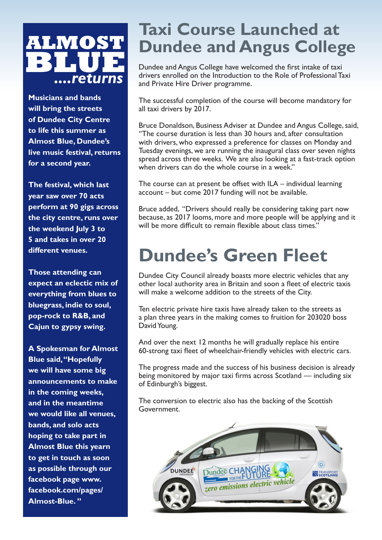# **ALMOST** *....returns*

**Musicians and bands will bring the streets of Dundee City Centre to life this summer as Almost Blue, Dundee's live music festival, returns for a second year.**

**The festival, which last year saw over 70 acts perform at 90 gigs across the city centre, runs over the weekend July 3 to 5 and takes in over 20 different venues.** 

**Those attending can expect an eclectic mix of everything from blues to bluegrass, indie to soul, pop-rock to R&B, and Cajun to gypsy swing.**

**A Spokesman for Almost Blue said, ''Hopefully we will have some big announcements to make in the coming weeks, and in the meantime we would like all venues, bands, and solo acts hoping to take part in Almost Blue this yearn to get in touch as soon as possible through our facebook page www. facebook.com/pages/ Almost-Blue. ''**

## **Taxi Course Launched at Dundee and Angus College**

Dundee and Angus College have welcomed the first intake of taxi drivers enrolled on the Introduction to the Role of Professional Taxi and Private Hire Driver programme.

The successful completion of the course will become mandatory for all taxi drivers by 2017.

Bruce Donaldson, Business Adviser at Dundee and Angus College, said, ''The course duration is less than 30 hours and, after consultation with drivers, who expressed a preference for classes on Monday and Tuesday evenings, we are running the inaugural class over seven nights spread across three weeks. We are also looking at a fast-track option when drivers can do the whole course in a week.''

The course can at present be offset with ILA – individual learning account – but come 2017 funding will not be available.

Bruce added, ''Drivers should really be considering taking part now because, as 2017 looms, more and more people will be applying and it will be more difficult to remain flexible about class times'

## **Dundee's Green Fleet**

Dundee City Council already boasts more electric vehicles that any other local authority area in Britain and soon a fleet of electric taxis will make a welcome addition to the streets of the City.

Ten electric private hire taxis have already taken to the streets as a plan three years in the making comes to fruition for 203020 boss David Young.

And over the next 12 months he will gradually replace his entire 60-strong taxi fleet of wheelchair-friendly vehicles with electric cars.

The progress made and the success of his business decision is already being monitored by major taxi firms across Scotland — including six of Edinburgh's biggest.

The conversion to electric also has the backing of the Scottish Government.

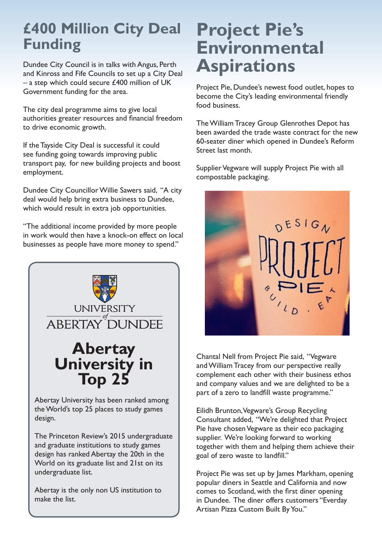#### **£400 Million City Deal Funding**

Dundee City Council is in talks with Angus, Perth and Kinross and Fife Councils to set up a City Deal – a step which could secure £400 million of UK Government funding for the area.

The city deal programme aims to give local authorities greater resources and financial freedom to drive economic growth.

If the Tayside City Deal is successful it could see funding going towards improving public transport pay, for new building projects and boost employment.

Dundee City Councillor Willie Sawers said, ''A city deal would help bring extra business to Dundee, which would result in extra job opportunities.

''The additional income provided by more people in work would then have a knock-on effect on local businesses as people have more money to spend.''



The Princeton Review's 2015 undergraduate and graduate institutions to study games design has ranked Abertay the 20th in the World on its graduate list and 21st on its undergraduate list.

Abertay is the only non US institution to make the list.

#### **Project Pie's Environmental Aspirations**

Project Pie, Dundee's newest food outlet, hopes to become the City's leading environmental friendly food business.

The William Tracey Group Glenrothes Depot has been awarded the trade waste contract for the new 60-seater diner which opened in Dundee's Reform Street last month.

Supplier Vegware will supply Project Pie with all compostable packaging.



Chantal Nell from Project Pie said, "Vegware and William Tracey from our perspective really complement each other with their business ethos and company values and we are delighted to be a part of a zero to landfill waste programme."

Eilidh Brunton, Vegware's Group Recycling Consultant added, "We're delighted that Project Pie have chosen Vegware as their eco packaging supplier. We're looking forward to working together with them and helping them achieve their goal of zero waste to landfill."

Project Pie was set up by James Markham, opening popular diners in Seattle and California and now comes to Scotland, with the first diner opening in Dundee. The diner offers customers "Everday Artisan Pizza Custom Built By You."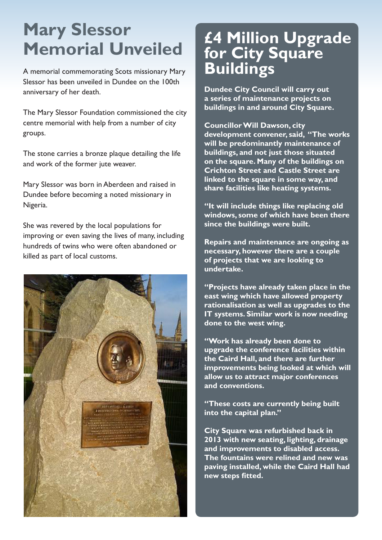## **Mary Slessor Memorial Unveiled**

A memorial commemorating Scots missionary Mary Slessor has been unveiled in Dundee on the 100th anniversary of her death.

The Mary Slessor Foundation commissioned the city centre memorial with help from a number of city groups.

The stone carries a bronze plaque detailing the life and work of the former jute weaver.

Mary Slessor was born in Aberdeen and raised in Dundee before becoming a noted missionary in Nigeria.

She was revered by the local populations for improving or even saving the lives of many, including hundreds of twins who were often abandoned or killed as part of local customs.



#### **£4 Million Upgrade for City Square Buildings**

**Dundee City Council will carry out a series of maintenance projects on buildings in and around City Square.**

**Councillor Will Dawson, city development convener, said, "The works will be predominantly maintenance of buildings, and not just those situated on the square. Many of the buildings on Crichton Street and Castle Street are linked to the square in some way, and share facilities like heating systems.**

**"It will include things like replacing old windows, some of which have been there since the buildings were built.** 

**Repairs and maintenance are ongoing as necessary, however there are a couple of projects that we are looking to undertake.**

**"Projects have already taken place in the east wing which have allowed property rationalisation as well as upgrades to the IT systems. Similar work is now needing done to the west wing.**

**"Work has already been done to upgrade the conference facilities within the Caird Hall, and there are further improvements being looked at which will allow us to attract major conferences and conventions.**

**"These costs are currently being built into the capital plan."**

**City Square was refurbished back in 2013 with new seating, lighting, drainage and improvements to disabled access. The fountains were relined and new was paving installed, while the Caird Hall had new steps fitted.**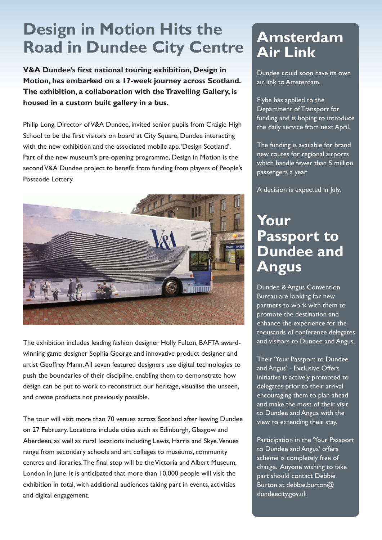### **Design in Motion Hits the Road in Dundee City Centre**

**V&A Dundee's first national touring exhibition, Design in Motion, has embarked on a 17-week journey across Scotland. The exhibition, a collaboration with the Travelling Gallery, is housed in a custom built gallery in a bus.**

Philip Long, Director of V&A Dundee, invited senior pupils from Craigie High School to be the first visitors on board at City Square, Dundee interacting with the new exhibition and the associated mobile app, 'Design Scotland'. Part of the new museum's pre-opening programme, Design in Motion is the second V&A Dundee project to benefit from funding from players of People's Postcode Lottery.



The exhibition includes leading fashion designer Holly Fulton, BAFTA awardwinning game designer Sophia George and innovative product designer and artist Geoffrey Mann. All seven featured designers use digital technologies to push the boundaries of their discipline, enabling them to demonstrate how design can be put to work to reconstruct our heritage, visualise the unseen, and create products not previously possible.

The tour will visit more than 70 venues across Scotland after leaving Dundee on 27 February. Locations include cities such as Edinburgh, Glasgow and Aberdeen, as well as rural locations including Lewis, Harris and Skye. Venues range from secondary schools and art colleges to museums, community centres and libraries. The final stop will be the Victoria and Albert Museum, London in June. It is anticipated that more than 10,000 people will visit the exhibition in total, with additional audiences taking part in events, activities and digital engagement.

#### **Amsterdam Air Link**

Dundee could soon have its own air link to Amsterdam.

Flybe has applied to the Department of Transport for funding and is hoping to introduce the daily service from next April.

The funding is available for brand new routes for regional airports which handle fewer than 5 million passengers a year.

A decision is expected in July.

#### **Your Passport to Dundee and Angus**

Dundee & Angus Convention Bureau are looking for new partners to work with them to promote the destination and enhance the experience for the thousands of conference delegates and visitors to Dundee and Angus.

Their 'Your Passport to Dundee and Angus' - Exclusive Offers initiative is actively promoted to delegates prior to their arrival encouraging them to plan ahead and make the most of their visit to Dundee and Angus with the view to extending their stay.

Participation in the 'Your Passport to Dundee and Angus' offers scheme is completely free of charge. Anyone wishing to take part should contact Debbie Burton at debbie.burton@ dundeecity.gov.uk